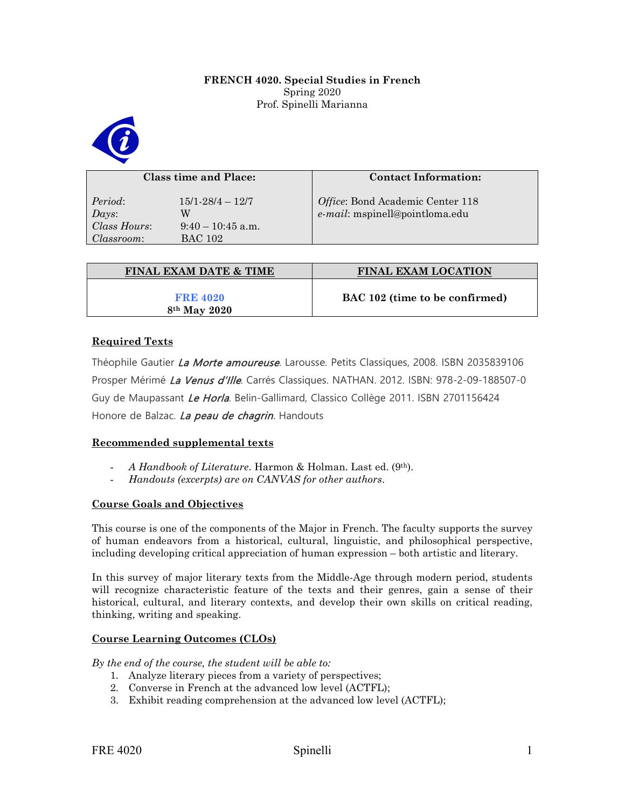## **FRENCH 4020. Special Studies in French**  Spring 2020 Prof. Spinelli Marianna



| Class time and Place:                               |                                                                  | <b>Contact Information:</b>                                        |
|-----------------------------------------------------|------------------------------------------------------------------|--------------------------------------------------------------------|
| Period:<br>$_{Days:}$<br>Class Hours:<br>Classroom: | $15/1 - 28/4 - 12/7$<br>W<br>$9:40-10:45$ a.m.<br><b>BAC 102</b> | Office: Bond Academic Center 118<br>e-mail: mspinell@pointloma.edu |

| <b>FINAL EXAM DATE &amp; TIME</b>           | <b>FINAL EXAM LOCATION</b>     |
|---------------------------------------------|--------------------------------|
| <b>FRE 4020</b><br>8 <sup>th</sup> May 2020 | BAC 102 (time to be confirmed) |

# **Required Texts**

Théophile Gautier La Morte amoureuse. Larousse. Petits Classiques, 2008. ISBN 2035839106 Prosper Mérimé La Venus d'Ille. Carrés Classiques. NATHAN. 2012. ISBN: 978-2-09-188507-0 Guy de Maupassant Le Horla. Belin-Gallimard, Classico Collège 2011. ISBN 2701156424 Honore de Balzac. La peau de chagrin. Handouts

## **Recommended supplemental texts**

- *A Handbook of Literature*. Harmon & Holman. Last ed. (9th).
- *Handouts (excerpts) are on CANVAS for other authors*.

# **Course Goals and Objectives**

This course is one of the components of the Major in French. The faculty supports the survey of human endeavors from a historical, cultural, linguistic, and philosophical perspective, including developing critical appreciation of human expression – both artistic and literary.

In this survey of major literary texts from the Middle-Age through modern period, students will recognize characteristic feature of the texts and their genres, gain a sense of their historical, cultural, and literary contexts, and develop their own skills on critical reading, thinking, writing and speaking.

## **Course Learning Outcomes (CLOs)**

*By the end of the course, the student will be able to:*

- 1. Analyze literary pieces from a variety of perspectives;
- 2. Converse in French at the advanced low level (ACTFL);
- 3. Exhibit reading comprehension at the advanced low level (ACTFL);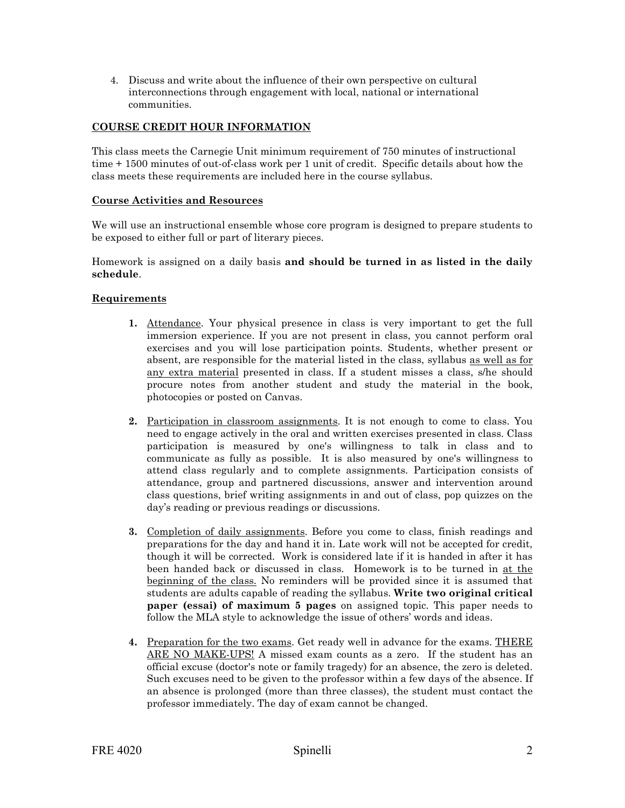4. Discuss and write about the influence of their own perspective on cultural interconnections through engagement with local, national or international communities.

# **COURSE CREDIT HOUR INFORMATION**

This class meets the Carnegie Unit minimum requirement of 750 minutes of instructional time + 1500 minutes of out-of-class work per 1 unit of credit. Specific details about how the class meets these requirements are included here in the course syllabus.

### **Course Activities and Resources**

We will use an instructional ensemble whose core program is designed to prepare students to be exposed to either full or part of literary pieces.

Homework is assigned on a daily basis **and should be turned in as listed in the daily schedule**.

### **Requirements**

- **1.** Attendance. Your physical presence in class is very important to get the full immersion experience. If you are not present in class, you cannot perform oral exercises and you will lose participation points. Students, whether present or absent, are responsible for the material listed in the class, syllabus as well as for any extra material presented in class. If a student misses a class, s/he should procure notes from another student and study the material in the book, photocopies or posted on Canvas.
- **2.** Participation in classroom assignments. It is not enough to come to class. You need to engage actively in the oral and written exercises presented in class. Class participation is measured by one's willingness to talk in class and to communicate as fully as possible. It is also measured by one's willingness to attend class regularly and to complete assignments. Participation consists of attendance, group and partnered discussions, answer and intervention around class questions, brief writing assignments in and out of class, pop quizzes on the day's reading or previous readings or discussions.
- **3.** Completion of daily assignments. Before you come to class, finish readings and preparations for the day and hand it in. Late work will not be accepted for credit, though it will be corrected. Work is considered late if it is handed in after it has been handed back or discussed in class. Homework is to be turned in at the beginning of the class. No reminders will be provided since it is assumed that students are adults capable of reading the syllabus. **Write two original critical paper (essai) of maximum 5 pages** on assigned topic. This paper needs to follow the MLA style to acknowledge the issue of others' words and ideas.
- **4.** Preparation for the two exams. Get ready well in advance for the exams. THERE ARE NO MAKE-UPS! A missed exam counts as a zero. If the student has an official excuse (doctor's note or family tragedy) for an absence, the zero is deleted. Such excuses need to be given to the professor within a few days of the absence. If an absence is prolonged (more than three classes), the student must contact the professor immediately. The day of exam cannot be changed.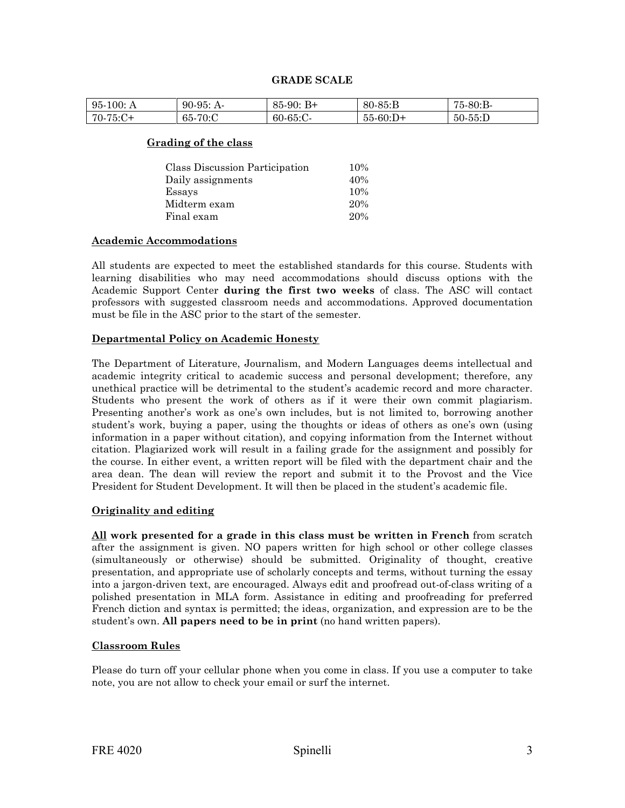#### **GRADE SCALE**

| 95.<br>100: A | -95:<br>90-<br>$A-$ | $B+$<br>85.<br>-90: | $80 - 85 : B$ | $.5-80$ :B- |
|---------------|---------------------|---------------------|---------------|-------------|
| 70-75:C+      | $-70:$ C<br>65-     | $60-65$ :C-         | $55-60:D+$    | $50-55$ :D  |

#### **Grading of the class**

| Class Discussion Participation | 10% |
|--------------------------------|-----|
| Daily assignments              | 40% |
| Essays                         | 10% |
| Midterm exam                   | 20% |
| Final exam                     | 20% |

### **Academic Accommodations**

All students are expected to meet the established standards for this course. Students with learning disabilities who may need accommodations should discuss options with the Academic Support Center **during the first two weeks** of class. The ASC will contact professors with suggested classroom needs and accommodations. Approved documentation must be file in the ASC prior to the start of the semester.

## **Departmental Policy on Academic Honesty**

The Department of Literature, Journalism, and Modern Languages deems intellectual and academic integrity critical to academic success and personal development; therefore, any unethical practice will be detrimental to the student's academic record and more character. Students who present the work of others as if it were their own commit plagiarism. Presenting another's work as one's own includes, but is not limited to, borrowing another student's work, buying a paper, using the thoughts or ideas of others as one's own (using information in a paper without citation), and copying information from the Internet without citation. Plagiarized work will result in a failing grade for the assignment and possibly for the course. In either event, a written report will be filed with the department chair and the area dean. The dean will review the report and submit it to the Provost and the Vice President for Student Development. It will then be placed in the student's academic file.

## **Originality and editing**

**All work presented for a grade in this class must be written in French** from scratch after the assignment is given. NO papers written for high school or other college classes (simultaneously or otherwise) should be submitted. Originality of thought, creative presentation, and appropriate use of scholarly concepts and terms, without turning the essay into a jargon-driven text, are encouraged. Always edit and proofread out-of-class writing of a polished presentation in MLA form. Assistance in editing and proofreading for preferred French diction and syntax is permitted; the ideas, organization, and expression are to be the student's own. **All papers need to be in print** (no hand written papers).

#### **Classroom Rules**

Please do turn off your cellular phone when you come in class. If you use a computer to take note, you are not allow to check your email or surf the internet.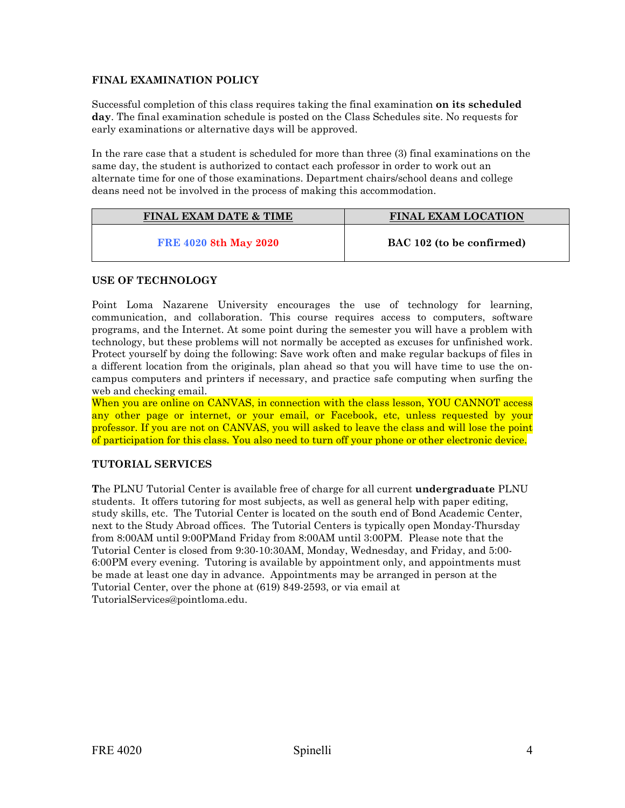# **FINAL EXAMINATION POLICY**

Successful completion of this class requires taking the final examination **on its scheduled day**. The final examination schedule is posted on the Class Schedules site. No requests for early examinations or alternative days will be approved.

In the rare case that a student is scheduled for more than three (3) final examinations on the same day, the student is authorized to contact each professor in order to work out an alternate time for one of those examinations. Department chairs/school deans and college deans need not be involved in the process of making this accommodation.

| <b>FINAL EXAM DATE &amp; TIME</b> | <b>FINAL EXAM LOCATION</b> |
|-----------------------------------|----------------------------|
| <b>FRE 4020 8th May 2020</b>      | BAC 102 (to be confirmed)  |

# **USE OF TECHNOLOGY**

Point Loma Nazarene University encourages the use of technology for learning, communication, and collaboration. This course requires access to computers, software programs, and the Internet. At some point during the semester you will have a problem with technology, but these problems will not normally be accepted as excuses for unfinished work. Protect yourself by doing the following: Save work often and make regular backups of files in a different location from the originals, plan ahead so that you will have time to use the oncampus computers and printers if necessary, and practice safe computing when surfing the web and checking email.

When you are online on CANVAS, in connection with the class lesson, YOU CANNOT access any other page or internet, or your email, or Facebook, etc, unless requested by your professor. If you are not on CANVAS, you will asked to leave the class and will lose the point of participation for this class. You also need to turn off your phone or other electronic device.

## **TUTORIAL SERVICES**

**T**he PLNU Tutorial Center is available free of charge for all current **undergraduate** PLNU students. It offers tutoring for most subjects, as well as general help with paper editing, study skills, etc. The Tutorial Center is located on the south end of Bond Academic Center, next to the Study Abroad offices. The Tutorial Centers is typically open Monday-Thursday from 8:00AM until 9:00PMand Friday from 8:00AM until 3:00PM. Please note that the Tutorial Center is closed from 9:30-10:30AM, Monday, Wednesday, and Friday, and 5:00- 6:00PM every evening. Tutoring is available by appointment only, and appointments must be made at least one day in advance. Appointments may be arranged in person at the Tutorial Center, over the phone at (619) 849-2593, or via email at TutorialServices@pointloma.edu.